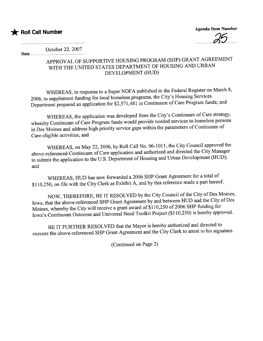## **\*** Roll Call Number

Agenda Item Number ..25.... .

October 22, 2007 Date.

## APPROVAL OF SUPPORTIVE HOUSING PROGRAM (SHP) GRANT AGREEMENT WITH THE UNITED STATES DEPARTMENT OF HOUSING AND URBAN DEVELOPMENT (HUD)

WHEREAS, in response to a Super NOFA published in the Federal Register on March 8, 2006, to supplement funding for local homeless programs, the City's Housing Services Deparment prepared an application for \$2,571,481 in Continuum of Care Program funds; and

WHEREAS, the application was developed from the City's Continuum of Care strategy, whereby Continuum of Care Program funds would provide needed services to homeless persons in Des Moines and address high priority service gaps within the parameters of Continuum of Care-eligible activities; and

WHEREAS, on May 22, 2006, by Roll Call No. 06-1011, the City Council approved the above-referenced Continuum of Care application and authorized and directed the City Manager to submit the application to the U.S. Department of Housing and Urban Development (HUD); and

WHEREAS, HUD has now forwarded a 2006 SHP Grant Agreement for a total of \$110,250, on file with the City Clerk as Exhibit A, and by this reference made a part hereof.

NOW, THEREFORE, BE IT RESOLVED by the City Council of the City of Des Moines, Iowa, that the above-referenced SHP Grant Agreement by and between HUD and the City of Des Moines, whereby the City will receive a grant award of \$110,250 of 2006 SHP funding for Iowa's Continuum Outcome and Universal Need Toolkit Project (\$110,250) is hereby approved.

BE IT FURTHER RESOLVED that the Mayor is hereby authorized and directed to execute the above-referenced SHP Grant Agreement and the City Clerk to attest to his signature.

(Continued on Page 2)